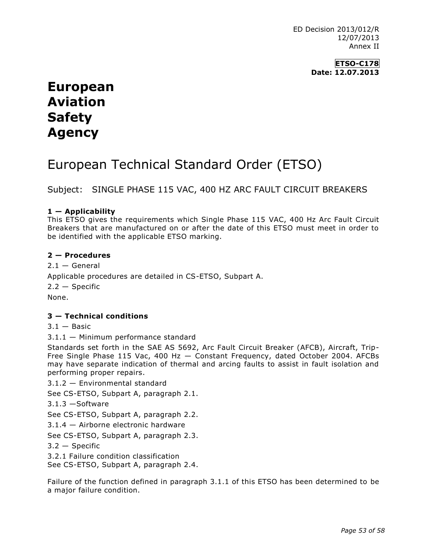ED Decision 2013/012/R 12/07/2013 Annex II

> **ETSO-C178 Date: 12.07.2013**

# **European Aviation Safety Agency**

# European Technical Standard Order (ETSO)

Subject: SINGLE PHASE 115 VAC, 400 HZ ARC FAULT CIRCUIT BREAKERS

### **1 — Applicability**

This ETSO gives the requirements which Single Phase 115 VAC, 400 Hz Arc Fault Circuit Breakers that are manufactured on or after the date of this ETSO must meet in order to be identified with the applicable ETSO marking.

#### **2 — Procedures**

 $2.1 - General$ Applicable procedures are detailed in CS-ETSO, Subpart A.  $2.2 -$ Specific None.

#### **3 — Technical conditions**

 $3.1 -$ Basic

3.1.1 — Minimum performance standard

Standards set forth in the SAE AS 5692, Arc Fault Circuit Breaker (AFCB), Aircraft, Trip-Free Single Phase 115 Vac, 400 Hz — Constant Frequency, dated October 2004. AFCBs may have separate indication of thermal and arcing faults to assist in fault isolation and performing proper repairs.

3.1.2 — Environmental standard

See CS-ETSO, Subpart A, paragraph 2.1.

3.1.3 —Software

See CS-ETSO, Subpart A, paragraph 2.2.

3.1.4 — Airborne electronic hardware

See CS-ETSO, Subpart A, paragraph 2.3.

 $3.2 -$ Specific

3.2.1 Failure condition classification

See CS-ETSO, Subpart A, paragraph 2.4.

Failure of the function defined in paragraph 3.1.1 of this ETSO has been determined to be a major failure condition.